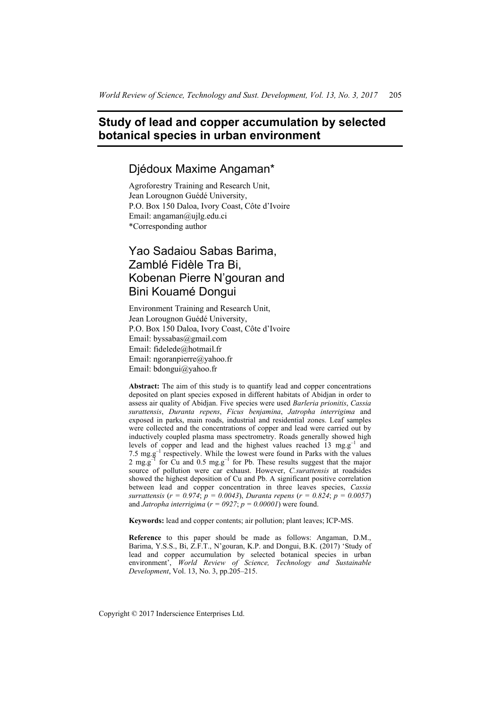# **Study of lead and copper accumulation by selected botanical species in urban environment**

## Djédoux Maxime Angaman\*

Agroforestry Training and Research Unit, Jean Lorougnon Guédé University, P.O. Box 150 Daloa, Ivory Coast, Côte d'Ivoire Email: angaman@ujlg.edu.ci \*Corresponding author

# Yao Sadaiou Sabas Barima, Zamblé Fidèle Tra Bi, Kobenan Pierre N'gouran and Bini Kouamé Dongui

Environment Training and Research Unit, Jean Lorougnon Guédé University, P.O. Box 150 Daloa, Ivory Coast, Côte d'Ivoire Email: byssabas@gmail.com Email: fidelede@hotmail.fr Email: ngoranpierre@yahoo.fr Email: bdongui@yahoo.fr

**Abstract:** The aim of this study is to quantify lead and copper concentrations deposited on plant species exposed in different habitats of Abidjan in order to assess air quality of Abidjan. Five species were used *Barleria prionitis*, *Cassia surattensis*, *Duranta repens*, *Ficus benjamina*, *Jatropha interrigima* and exposed in parks, main roads, industrial and residential zones. Leaf samples were collected and the concentrations of copper and lead were carried out by inductively coupled plasma mass spectrometry. Roads generally showed high levels of copper and lead and the highest values reached 13 mg.g–1 and 7.5  $\text{mg.g}^{-1}$  respectively. While the lowest were found in Parks with the values 2 mg.g<sup>-1</sup> for Cu and 0.5 mg.g<sup>-1</sup> for Pb. These results suggest that the major source of pollution were car exhaust. However, *C.surattensis* at roadsides showed the highest deposition of Cu and Pb. A significant positive correlation between lead and copper concentration in three leaves species, *Cassia surrattensis* (*r = 0.974*; *p = 0.0043*), *Duranta repens* (*r = 0.824*; *p = 0.0057*) and *Jatropha interrigima* ( $r = 0927$ ;  $p = 0.00001$ ) were found.

**Keywords:** lead and copper contents; air pollution; plant leaves; ICP-MS.

**Reference** to this paper should be made as follows: Angaman, D.M., Barima, Y.S.S., Bi, Z.F.T., N'gouran, K.P. and Dongui, B.K. (2017) 'Study of lead and copper accumulation by selected botanical species in urban environment', *World Review of Science, Technology and Sustainable Development*, Vol. 13, No. 3, pp.205–215.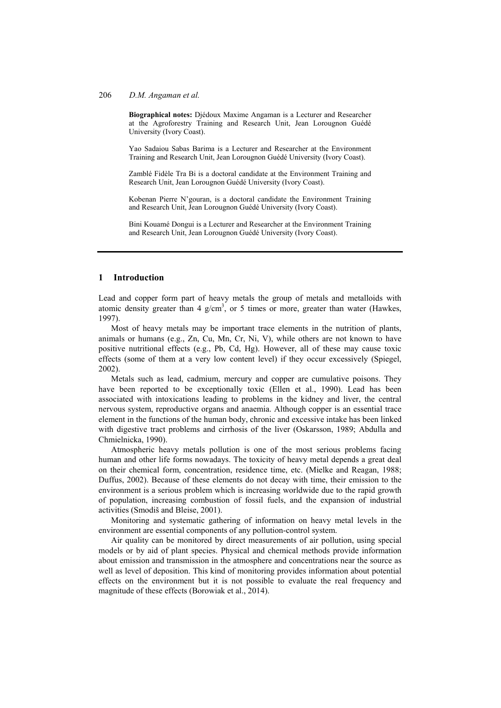**Biographical notes:** Djédoux Maxime Angaman is a Lecturer and Researcher at the Agroforestry Training and Research Unit, Jean Lorougnon Guédé University (Ivory Coast).

Yao Sadaiou Sabas Barima is a Lecturer and Researcher at the Environment Training and Research Unit, Jean Lorougnon Guédé University (Ivory Coast).

Zamblé Fidèle Tra Bi is a doctoral candidate at the Environment Training and Research Unit, Jean Lorougnon Guédé University (Ivory Coast).

Kobenan Pierre N'gouran, is a doctoral candidate the Environment Training and Research Unit, Jean Lorougnon Guédé University (Ivory Coast).

Bini Kouamé Dongui is a Lecturer and Researcher at the Environment Training and Research Unit, Jean Lorougnon Guédé University (Ivory Coast).

### **1 Introduction**

Lead and copper form part of heavy metals the group of metals and metalloids with atomic density greater than 4  $g/cm<sup>3</sup>$ , or 5 times or more, greater than water (Hawkes, 1997).

Most of heavy metals may be important trace elements in the nutrition of plants, animals or humans (e.g., Zn, Cu, Mn, Cr, Ni, V), while others are not known to have positive nutritional effects (e.g., Pb, Cd, Hg). However, all of these may cause toxic effects (some of them at a very low content level) if they occur excessively (Spiegel, 2002).

Metals such as lead, cadmium, mercury and copper are cumulative poisons. They have been reported to be exceptionally toxic (Ellen et al., 1990). Lead has been associated with intoxications leading to problems in the kidney and liver, the central nervous system, reproductive organs and anaemia. Although copper is an essential trace element in the functions of the human body, chronic and excessive intake has been linked with digestive tract problems and cirrhosis of the liver (Oskarsson, 1989; Abdulla and Chmielnicka, 1990).

Atmospheric heavy metals pollution is one of the most serious problems facing human and other life forms nowadays. The toxicity of heavy metal depends a great deal on their chemical form, concentration, residence time, etc. (Mielke and Reagan, 1988; Duffus, 2002). Because of these elements do not decay with time, their emission to the environment is a serious problem which is increasing worldwide due to the rapid growth of population, increasing combustion of fossil fuels, and the expansion of industrial activities (Smodiš and Bleise, 2001).

Monitoring and systematic gathering of information on heavy metal levels in the environment are essential components of any pollution-control system.

Air quality can be monitored by direct measurements of air pollution, using special models or by aid of plant species. Physical and chemical methods provide information about emission and transmission in the atmosphere and concentrations near the source as well as level of deposition. This kind of monitoring provides information about potential effects on the environment but it is not possible to evaluate the real frequency and magnitude of these effects (Borowiak et al., 2014).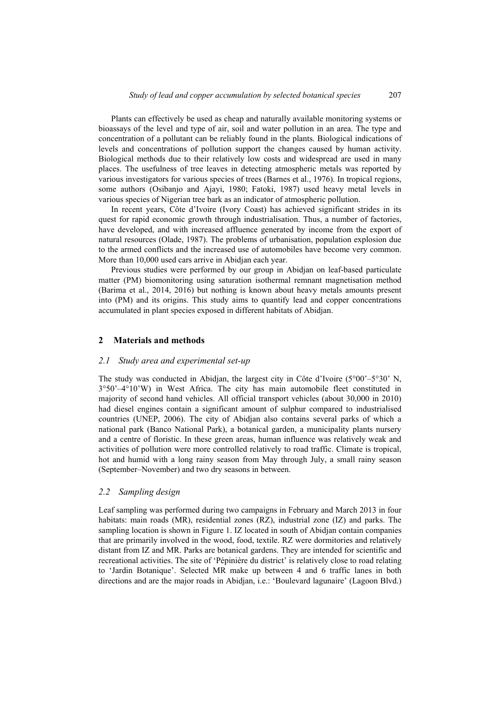Plants can effectively be used as cheap and naturally available monitoring systems or bioassays of the level and type of air, soil and water pollution in an area. The type and concentration of a pollutant can be reliably found in the plants. Biological indications of levels and concentrations of pollution support the changes caused by human activity. Biological methods due to their relatively low costs and widespread are used in many places. The usefulness of tree leaves in detecting atmospheric metals was reported by various investigators for various species of trees (Barnes et al., 1976). In tropical regions, some authors (Osibanjo and Ajayi, 1980; Fatoki, 1987) used heavy metal levels in various species of Nigerian tree bark as an indicator of atmospheric pollution.

In recent years, Côte d'Ivoire (Ivory Coast) has achieved significant strides in its quest for rapid economic growth through industrialisation. Thus, a number of factories, have developed, and with increased affluence generated by income from the export of natural resources (Olade, 1987). The problems of urbanisation, population explosion due to the armed conflicts and the increased use of automobiles have become very common. More than 10,000 used cars arrive in Abidjan each year.

Previous studies were performed by our group in Abidjan on leaf-based particulate matter (PM) biomonitoring using saturation isothermal remnant magnetisation method (Barima et al., 2014, 2016) but nothing is known about heavy metals amounts present into (PM) and its origins. This study aims to quantify lead and copper concentrations accumulated in plant species exposed in different habitats of Abidjan.

## **2 Materials and methods**

#### *2.1 Study area and experimental set-up*

The study was conducted in Abidjan, the largest city in Côte d'Ivoire (5°00'–5°30' N, 3°50'–4°10'W) in West Africa. The city has main automobile fleet constituted in majority of second hand vehicles. All official transport vehicles (about 30,000 in 2010) had diesel engines contain a significant amount of sulphur compared to industrialised countries (UNEP, 2006). The city of Abidjan also contains several parks of which a national park (Banco National Park), a botanical garden, a municipality plants nursery and a centre of floristic. In these green areas, human influence was relatively weak and activities of pollution were more controlled relatively to road traffic. Climate is tropical, hot and humid with a long rainy season from May through July, a small rainy season (September–November) and two dry seasons in between.

## *2.2 Sampling design*

Leaf sampling was performed during two campaigns in February and March 2013 in four habitats: main roads (MR), residential zones (RZ), industrial zone (IZ) and parks. The sampling location is shown in Figure 1. IZ located in south of Abidian contain companies that are primarily involved in the wood, food, textile. RZ were dormitories and relatively distant from IZ and MR. Parks are botanical gardens. They are intended for scientific and recreational activities. The site of 'Pépinière du district' is relatively close to road relating to 'Jardin Botanique'. Selected MR make up between 4 and 6 traffic lanes in both directions and are the major roads in Abidjan, i.e.: 'Boulevard lagunaire' (Lagoon Blvd.)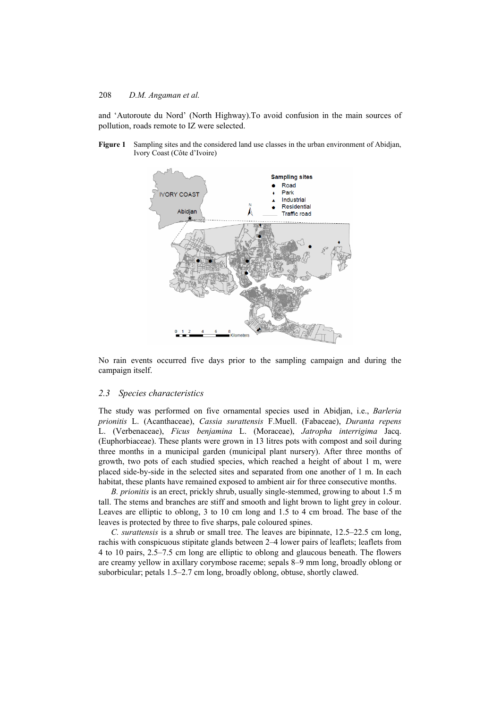and 'Autoroute du Nord' (North Highway).To avoid confusion in the main sources of pollution, roads remote to IZ were selected.

**Figure 1** Sampling sites and the considered land use classes in the urban environment of Abidjan, Ivory Coast (Côte d'Ivoire)



No rain events occurred five days prior to the sampling campaign and during the campaign itself.

## *2.3 Species characteristics*

The study was performed on five ornamental species used in Abidjan, i.e., *Barleria prionitis* L. (Acanthaceae), *Cassia surattensis* F.Muell. (Fabaceae), *Duranta repens* L. (Verbenaceae), *Ficus benjamina* L. (Moraceae), *Jatropha interrigima* Jacq. (Euphorbiaceae). These plants were grown in 13 litres pots with compost and soil during three months in a municipal garden (municipal plant nursery). After three months of growth, two pots of each studied species, which reached a height of about 1 m, were placed side-by-side in the selected sites and separated from one another of 1 m. In each habitat, these plants have remained exposed to ambient air for three consecutive months.

*B. prionitis* is an erect, prickly shrub, usually single-stemmed, growing to about 1.5 m tall. The stems and branches are stiff and smooth and light brown to light grey in colour. Leaves are elliptic to oblong, 3 to 10 cm long and 1.5 to 4 cm broad. The base of the leaves is protected by three to five sharps, pale coloured spines.

*C. surattensis* is a shrub or small tree. The leaves are bipinnate, 12.5–22.5 cm long, rachis with conspicuous stipitate glands between 2–4 lower pairs of leaflets; leaflets from 4 to 10 pairs, 2.5–7.5 cm long are elliptic to oblong and glaucous beneath. The flowers are creamy yellow in axillary corymbose raceme; sepals 8–9 mm long, broadly oblong or suborbicular; petals 1.5–2.7 cm long, broadly oblong, obtuse, shortly clawed.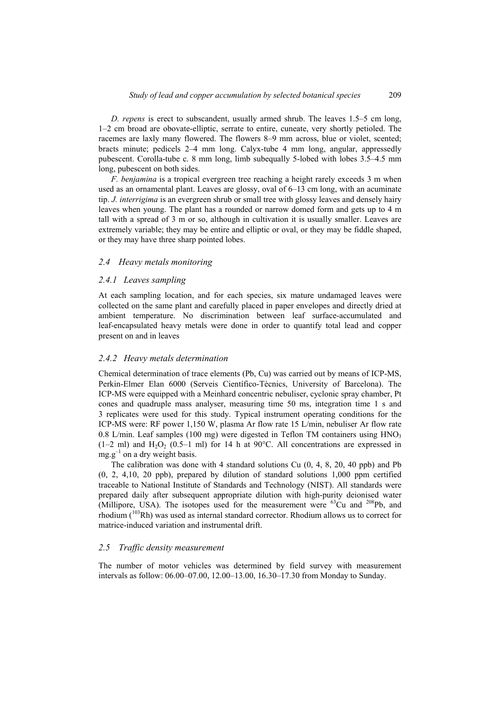*D. repens* is erect to subscandent, usually armed shrub. The leaves 1.5–5 cm long, 1–2 cm broad are obovate-elliptic, serrate to entire, cuneate, very shortly petioled. The racemes are laxly many flowered. The flowers 8–9 mm across, blue or violet, scented; bracts minute; pedicels 2–4 mm long. Calyx-tube 4 mm long, angular, appressedly pubescent. Corolla-tube c. 8 mm long, limb subequally 5-lobed with lobes 3.5–4.5 mm long, pubescent on both sides.

*F. benjamina* is a tropical evergreen tree reaching a height rarely exceeds 3 m when used as an ornamental plant. Leaves are glossy, oval of 6–13 cm long, with an acuminate tip. *J. interrigima* is an evergreen shrub or small tree with glossy leaves and densely hairy leaves when young. The plant has a rounded or narrow domed form and gets up to 4 m tall with a spread of 3 m or so, although in cultivation it is usually smaller. Leaves are extremely variable; they may be entire and elliptic or oval, or they may be fiddle shaped, or they may have three sharp pointed lobes.

## *2.4 Heavy metals monitoring*

#### *2.4.1 Leaves sampling*

At each sampling location, and for each species, six mature undamaged leaves were collected on the same plant and carefully placed in paper envelopes and directly dried at ambient temperature. No discrimination between leaf surface-accumulated and leaf-encapsulated heavy metals were done in order to quantify total lead and copper present on and in leaves

#### *2.4.2 Heavy metals determination*

Chemical determination of trace elements (Pb, Cu) was carried out by means of ICP-MS, Perkin-Elmer Elan 6000 (Serveis Científico-Tècnics, University of Barcelona). The ICP-MS were equipped with a Meinhard concentric nebuliser, cyclonic spray chamber, Pt cones and quadruple mass analyser, measuring time 50 ms, integration time 1 s and 3 replicates were used for this study. Typical instrument operating conditions for the ICP-MS were: RF power 1,150 W, plasma Ar flow rate 15 L/min, nebuliser Ar flow rate 0.8 L/min. Leaf samples (100 mg) were digested in Teflon TM containers using  $HNO<sub>3</sub>$  $(1-2 \text{ ml})$  and  $H_2O_2$   $(0.5-1 \text{ ml})$  for 14 h at 90 $^{\circ}$ C. All concentrations are expressed in  $mg.g^{-1}$  on a dry weight basis.

The calibration was done with 4 standard solutions Cu (0, 4, 8, 20, 40 ppb) and Pb (0, 2, 4,10, 20 ppb), prepared by dilution of standard solutions 1,000 ppm certified traceable to National Institute of Standards and Technology (NIST). All standards were prepared daily after subsequent appropriate dilution with high-purity deionised water (Millipore, USA). The isotopes used for the measurement were  $^{63}$ Cu and  $^{208}$ Pb, and rhodium (103Rh) was used as internal standard corrector. Rhodium allows us to correct for matrice-induced variation and instrumental drift.

## *2.5 Traffic density measurement*

The number of motor vehicles was determined by field survey with measurement intervals as follow: 06.00–07.00, 12.00–13.00, 16.30–17.30 from Monday to Sunday.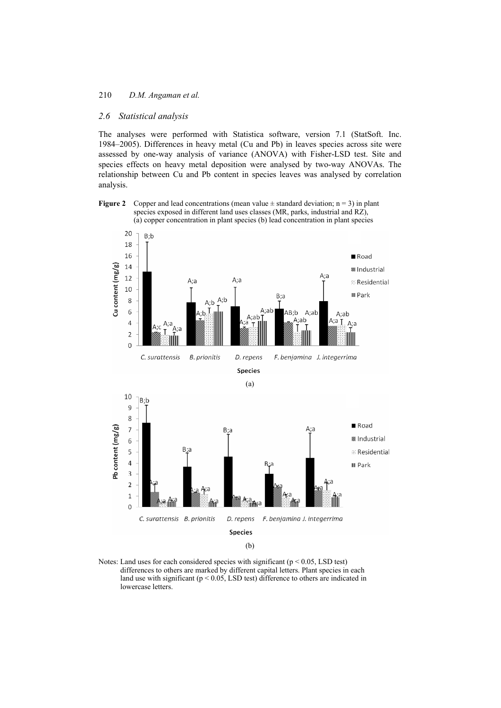#### *2.6 Statistical analysis*

The analyses were performed with Statistica software, version 7.1 (StatSoft. Inc. 1984–2005). Differences in heavy metal (Cu and Pb) in leaves species across site were assessed by one-way analysis of variance (ANOVA) with Fisher-LSD test. Site and species effects on heavy metal deposition were analysed by two-way ANOVAs. The relationship between Cu and Pb content in species leaves was analysed by correlation analysis.

#### **Figure 2** Copper and lead concentrations (mean value  $\pm$  standard deviation; n = 3) in plant species exposed in different land uses classes (MR, parks, industrial and RZ), (a) copper concentration in plant species (b) lead concentration in plant species



Notes: Land uses for each considered species with significant ( $p < 0.05$ , LSD test) differences to others are marked by different capital letters. Plant species in each land use with significant ( $p < 0.05$ , LSD test) difference to others are indicated in lowercase letters.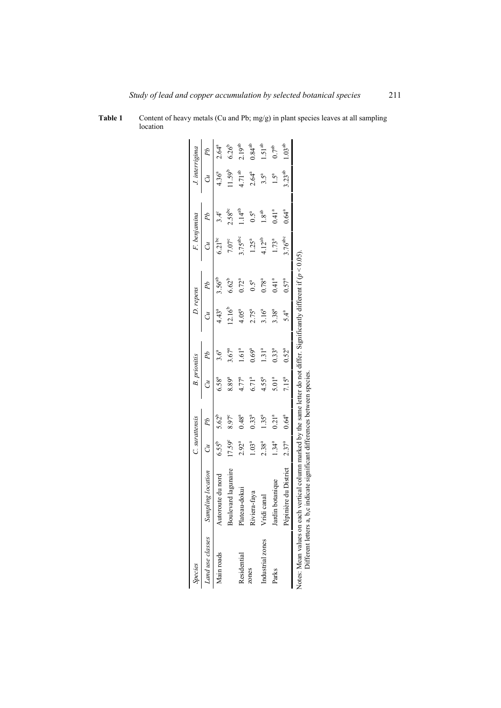| <b>Species</b>                                         |                                                                                                                                                      | C. surattensis  |            |                   | <b>B.</b> prionitis | D. repens   |                   | F. benjamina        |                 | J. interrigima     |                    |
|--------------------------------------------------------|------------------------------------------------------------------------------------------------------------------------------------------------------|-----------------|------------|-------------------|---------------------|-------------|-------------------|---------------------|-----------------|--------------------|--------------------|
|                                                        | Land use classes Sampling location                                                                                                                   |                 |            |                   |                     |             |                   |                     |                 |                    |                    |
| Main roads                                             | Autoroute du nord                                                                                                                                    | $55^{\circ}$    |            |                   |                     |             |                   |                     |                 |                    |                    |
|                                                        | Boulevard lagunaire                                                                                                                                  | $17.59^{\circ}$ | 8.97°      | 8.89ª             | $3.67^{a}$          | $12.16^{b}$ | $6.62^{b}$        | $7.07^{\circ}$      | $2.58^{bc}$     | $1.59^{b}$         | $6.26^{b}$         |
| Residential                                            | Plateau-dokui                                                                                                                                        | $2.92^{a}$      | $0.48^{a}$ | $4.77^{a}$        | 1.61 <sup>a</sup>   | $4.05^{a}$  | $0.72^{a}$        | $3.75^{abc}$        | $1.14^{\rm ab}$ | 4.71 <sup>ab</sup> | 2.19 <sup>ab</sup> |
| zones                                                  | Riviera-faya                                                                                                                                         | $1.03^{a}$      | $0.33^{a}$ | $6.71^{a}$        | $0.69^{a}$          | $2.75^{a}$  | $0.5^{\rm a}$     | $1.25^{a}$          | $0.5^{\rm a}$   | $2.64^{a}$         | $0.84^{ab}$        |
| Industrial zones                                       | $c$ anal<br>Vridi                                                                                                                                    | $2.38^{a}$      | $1.35^{a}$ | $4.55^{a}$        | 131 <sup>a</sup>    | $3.16^{a}$  | $0.78^{a}$        | $4.12^{ab}$         | ಕಿ<br>_         |                    | $1.51^{ab}$        |
| Parks                                                  | potanique<br>Jardin                                                                                                                                  | $1.34^{a}$      | $0.21^{a}$ | 5.01 <sup>a</sup> | $0.33^{a}$          | $3.38^{a}$  | 0.41 <sup>a</sup> | $1.73^a$            | $0.41^{a}$      | $1.5^{\rm a}$      | ე7 <sup>ab</sup>   |
|                                                        | ière du District<br>Pépini                                                                                                                           | $2.37^{a}$      | $0.64^{a}$ | $7.15^a$          | $0.52^{a}$          | 54ª         | $0.57^{a}$        | 3.76 <sup>abc</sup> | $0.64^{a}$      | 3.23 <sup>ab</sup> | .03 <sup>ab</sup>  |
| Different letters a, b,c<br>Notes: Mean values on each | vertical column marked by the same letter do not differ. Significantly different if $(p < 0.05)$<br>malcate significant differences between species. |                 |            |                   |                     |             |                   |                     |                 |                    |                    |

| Table 1 | Content of heavy metals (Cu and Pb; mg/g) in plant species leaves at all sampling |
|---------|-----------------------------------------------------------------------------------|
|         | location                                                                          |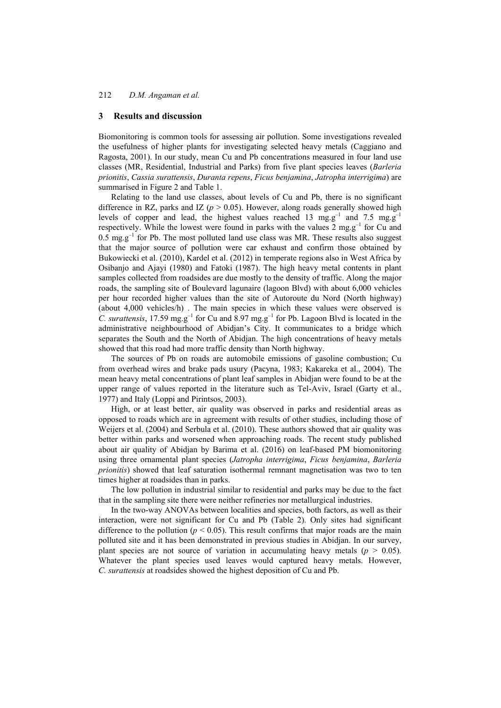## **3 Results and discussion**

Biomonitoring is common tools for assessing air pollution. Some investigations revealed the usefulness of higher plants for investigating selected heavy metals (Caggiano and Ragosta, 2001). In our study, mean Cu and Pb concentrations measured in four land use classes (MR, Residential, Industrial and Parks) from five plant species leaves (*Barleria prionitis*, *Cassia surattensis*, *Duranta repens*, *Ficus benjamina*, *Jatropha interrigima*) are summarised in Figure 2 and Table 1.

Relating to the land use classes, about levels of Cu and Pb, there is no significant difference in RZ, parks and IZ ( $p > 0.05$ ). However, along roads generally showed high levels of copper and lead, the highest values reached 13 mg.g<sup>-1</sup> and 7.5 mg.g<sup>-1</sup> respectively. While the lowest were found in parks with the values  $2 \text{ mg} \cdot g^{-1}$  for Cu and 0.5 mg.g<sup>-1</sup> for Pb. The most polluted land use class was MR. These results also suggest that the major source of pollution were car exhaust and confirm those obtained by Bukowiecki et al. (2010), Kardel et al. (2012) in temperate regions also in West Africa by Osibanjo and Ajayi (1980) and Fatoki (1987). The high heavy metal contents in plant samples collected from roadsides are due mostly to the density of traffic. Along the major roads, the sampling site of Boulevard lagunaire (lagoon Blvd) with about 6,000 vehicles per hour recorded higher values than the site of Autoroute du Nord (North highway) (about 4,000 vehicles/h) . The main species in which these values were observed is *C. surattensis*, 17.59 mg.g<sup>-1</sup> for Cu and  $8.97$  mg.g<sup>-1</sup> for Pb. Lagoon Blvd is located in the administrative neighbourhood of Abidjan's City. It communicates to a bridge which separates the South and the North of Abidjan. The high concentrations of heavy metals showed that this road had more traffic density than North highway.

The sources of Pb on roads are automobile emissions of gasoline combustion; Cu from overhead wires and brake pads usury (Pacyna, 1983; Kakareka et al., 2004). The mean heavy metal concentrations of plant leaf samples in Abidjan were found to be at the upper range of values reported in the literature such as Tel-Aviv, Israel (Garty et al., 1977) and Italy (Loppi and Pirintsos, 2003).

High, or at least better, air quality was observed in parks and residential areas as opposed to roads which are in agreement with results of other studies, including those of Weijers et al. (2004) and Serbula et al. (2010). These authors showed that air quality was better within parks and worsened when approaching roads. The recent study published about air quality of Abidjan by Barima et al. (2016) on leaf-based PM biomonitoring using three ornamental plant species (*Jatropha interrigima*, *Ficus benjamina*, *Barleria prionitis*) showed that leaf saturation isothermal remnant magnetisation was two to ten times higher at roadsides than in parks.

The low pollution in industrial similar to residential and parks may be due to the fact that in the sampling site there were neither refineries nor metallurgical industries.

In the two-way ANOVAs between localities and species, both factors, as well as their interaction, were not significant for Cu and Pb (Table 2). Only sites had significant difference to the pollution ( $p < 0.05$ ). This result confirms that major roads are the main polluted site and it has been demonstrated in previous studies in Abidjan. In our survey, plant species are not source of variation in accumulating heavy metals  $(p > 0.05)$ . Whatever the plant species used leaves would captured heavy metals. However, *C. surattensis* at roadsides showed the highest deposition of Cu and Pb.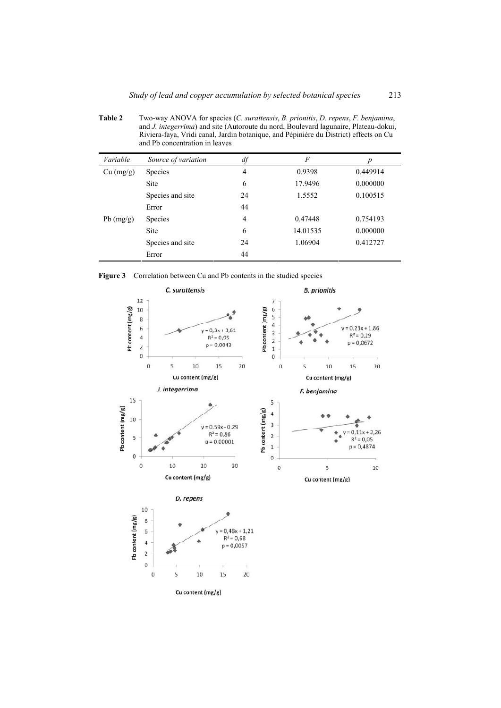**Table 2** Two-way ANOVA for species (*C. surattensis*, *B. prionitis*, *D. repens*, *F. benjamina*, and *J. integerrima*) and site (Autoroute du nord, Boulevard lagunaire, Plateau-dokui, Riviera-faya, Vridi canal, Jardin botanique, and Pépinière du District) effects on Cu and Pb concentration in leaves

| Variable    | Source of variation | df             | F        | p        |
|-------------|---------------------|----------------|----------|----------|
| Cu (mg/g)   | <b>Species</b>      | 4              | 0.9398   | 0.449914 |
|             | <b>Site</b>         | 6              | 17.9496  | 0.000000 |
|             | Species and site    | 24             | 1.5552   | 0.100515 |
|             | Error               | 44             |          |          |
| $Pb$ (mg/g) | <b>Species</b>      | $\overline{4}$ | 0.47448  | 0.754193 |
|             | Site                | 6              | 14.01535 | 0.000000 |
|             | Species and site    | 24             | 1.06904  | 0.412727 |
|             | Error               | 44             |          |          |

**Figure 3** Correlation between Cu and Pb contents in the studied species



Cu content (mg/g)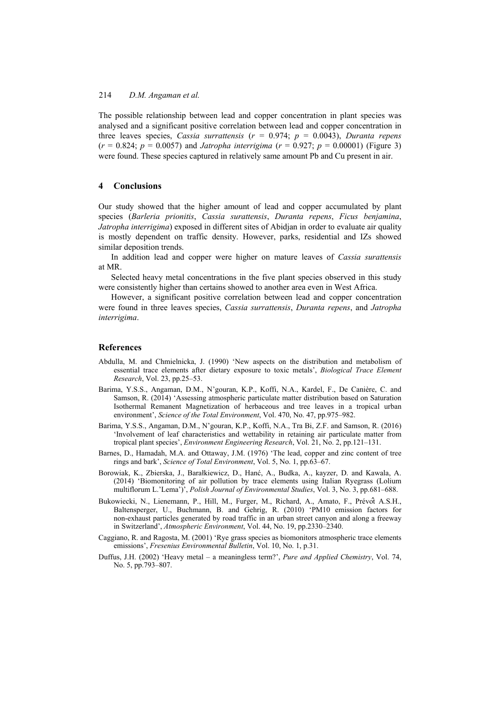The possible relationship between lead and copper concentration in plant species was analysed and a significant positive correlation between lead and copper concentration in three leaves species, *Cassia surrattensis* (*r* = 0.974; *p* = 0.0043), *Duranta repens*  $(r = 0.824; p = 0.0057)$  and *Jatropha interrigima*  $(r = 0.927; p = 0.00001)$  (Figure 3) were found. These species captured in relatively same amount Pb and Cu present in air.

#### **4 Conclusions**

Our study showed that the higher amount of lead and copper accumulated by plant species (*Barleria prionitis*, *Cassia surattensis*, *Duranta repens*, *Ficus benjamina*, *Jatropha interrigima*) exposed in different sites of Abidjan in order to evaluate air quality is mostly dependent on traffic density. However, parks, residential and IZs showed similar deposition trends.

In addition lead and copper were higher on mature leaves of *Cassia surattensis*  at MR.

Selected heavy metal concentrations in the five plant species observed in this study were consistently higher than certains showed to another area even in West Africa.

However, a significant positive correlation between lead and copper concentration were found in three leaves species, *Cassia surrattensis*, *Duranta repens*, and *Jatropha interrigima*.

### **References**

- Abdulla, M. and Chmielnicka, J. (1990) 'New aspects on the distribution and metabolism of essential trace elements after dietary exposure to toxic metals', *Biological Trace Element Research*, Vol. 23, pp.25–53.
- Barima, Y.S.S., Angaman, D.M., N'gouran, K.P., Koffi, N.A., Kardel, F., De Canière, C. and Samson, R. (2014) 'Assessing atmospheric particulate matter distribution based on Saturation Isothermal Remanent Magnetization of herbaceous and tree leaves in a tropical urban environment', *Science of the Total Environment*, Vol. 470, No. 47, pp.975–982.
- Barima, Y.S.S., Angaman, D.M., N'gouran, K.P., Koffi, N.A., Tra Bi, Z.F. and Samson, R. (2016) 'Involvement of leaf characteristics and wettability in retaining air particulate matter from tropical plant species', *Environment Engineering Research*, Vol. 21, No. 2, pp.121–131.
- Barnes, D., Hamadah, M.A. and Ottaway, J.M. (1976) 'The lead, copper and zinc content of tree rings and bark', *Science of Total Environment*, Vol. 5, No. 1, pp.63–67.
- Borowiak, K., Zbierska, J., Barałkiewicz, D., Hanć, A., Budka, A., kayzer, D. and Kawala, A. (2014) 'Biomonitoring of air pollution by trace elements using Italian Ryegrass (Lolium multiflorum L.'Lema')', *Polish Journal of Environmental Studies*, Vol. 3, No. 3, pp.681–688.
- Bukowiecki, N., Lienemann, P., Hill, M., Furger, M., Richard, A., Amato, F., Prévôt A.S.H., Baltensperger, U., Buchmann, B. and Gehrig, R. (2010) 'PM10 emission factors for non-exhaust particles generated by road traffic in an urban street canyon and along a freeway in Switzerland', *Atmospheric Environment*, Vol. 44, No. 19, pp.2330–2340.
- Caggiano, R. and Ragosta, M. (2001) 'Rye grass species as biomonitors atmospheric trace elements emissions', *Fresenius Environmental Bulletin*, Vol. 10, No. 1, p.31.
- Duffus, J.H. (2002) 'Heavy metal a meaningless term?', *Pure and Applied Chemistry*, Vol. 74, No. 5, pp.793–807.